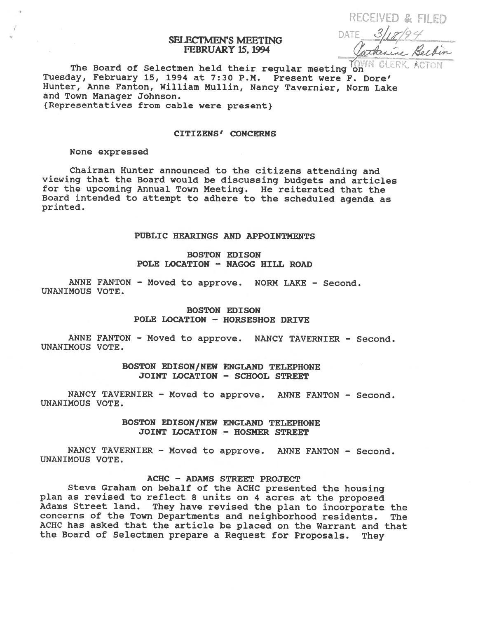# SELECTMEN'S MEETING FEBRUARY 15. 1994

RECEIVED & FILED DATE.

The Board of Selectmen held their regular meeting on Tuesday, February 15, 1994 at 7:30 P.M. Present were F. Dore' Hunter, Anne Fanton, William Mullin, Nancy Tavernier, Norm Lake and Town Manager Johnson. {Representatives from cable were present).

#### CITIZENS' CONCERNS

#### None expressed

Chairman Hunter announced to the citizens attending and viewing that the Board would be discussing budgets and articles for the upcoming Annual Town Meeting. He reiterated that the Board intended to attempt to adhere to the scheduled agenda as printed.

# PUBLIC HEARINGS AND APPOINTMENTS

# BOSTON EDISON POLE LOCATION - NAGOG HILL ROAD

ANNE FANTON - Moved to approve. NORM LAKE - Second. UNANIMOUS VOTE.

# BOSTON EDISON POLE LOCATION - HORSESHOE DRIVE

ANNE FANTON - Moved to approve. NANCY TAVERNIER - Second. UNANIMOUS VOTE.

### BOSTON EDISON/NEW ENGLAND TELEPHONE JOINT LOCATION - SCHOOL STREET

NANCY TAVERNIER - Moved to approve. ANNE FANTON - Second. UNANIMOUS VOTE.

> BOSTON EDISON/NEW ENGLAND TELEPHONE JOINT LOCATION - HOSMER STREET

NANCY TAVERNIER - Moved to approve. ANNE FANTON - Second. UNANIMOUS VOTE.

#### ACHC - ADAMS STREET PROJECT

Steve Graham on behalf of the ACHC presented the housing <sup>p</sup>lan as revised to reflect <sup>8</sup> units on <sup>4</sup> acres at the proposed Adams Street land. They have revised the <sup>p</sup>lan to incorporate the concerns of the Town Departments and neighborhood residents. The ACHC has asked that the article be <sup>p</sup>laced on the Warrant and that the Board of Selectmen prepare <sup>a</sup> Request for Proposals. They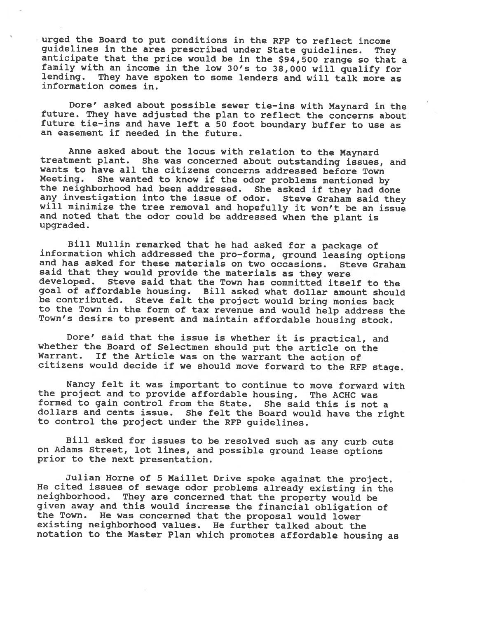urged the Board to put conditions in the RFP to reflect income guidelines in the area prescribed under State guidelines. They anticipate that the price would be in the \$94,500 range so that a family with an income in the low 30's to 38,000 will qualify for lending. They have spoken to some lenders and will talk more as information comes in.

Dore' asked about possible sewer tie—ins with Maynard in the future. They have adjusted the <sup>p</sup>lan to reflect the concerns about future tie—ins and have left <sup>a</sup> 50 foot boundary buffer to use as an easement if needed in the future.

Anne asked about the locus with relation to the Maynard treatment <sup>p</sup>lant. She was concerned about outstanding issues, and wants to have all the citizens concerns addressed before Town<br>Meeting. She wanted to know if the odor problems mentioned by the neighborhood had been addressed. She asked if they had done<br>any investigation into the issue of odor. Steve Graham said they will minimize the tree removal and hopefully it won't be an issue and noted that the odor could be addressed when the <sup>p</sup>lant is upgraded.

Bill Mullin remarked that he had asked for a package of information which addressed the pro-forma, ground leasing options and has asked for these materials on two occasions. Steve Graham said that they would provide the materials as they were<br>developed. Steve said that the Town has committed itsel Steve said that the Town has committed itself to the goa<sup>l</sup> of affordable housing. Bill asked what dollar amount should be contributed. Steve felt the project would bring monies back to the Town in the form of tax revenue and would help address the Town's desire to present and maintain affordable housing stock.

Dore' said that the issue is whether it is practical, and whether the Board of Selectmen should put the article on the Warrant. If the Article was on the warrant the action of citizens would decide if we should move forward to the RFP stage.

Nancy felt it was important to continue to move forward with the project and to provide affordable housing. The ACHC was formed to gain control from the State. She said this is not a dollars and cents issue. She felt the Board would have the right to control the project under the RFP guidelines.

Bill asked for issues to be resolved such as any curb cuts on Adams Street, lot lines, and possible ground lease options prior to the next presentation.

Julian Horne of 5 Maillet Drive spoke against the project. He cited issues of sewage odor problems already existing in the neighborhood. They are concerned that the property would be <sup>g</sup>iven away and this would increase the financial obligation of the Town. He was concerned that the proposal would lower existing neighborhood values. He further talked about the notation to the Master Plan which promotes affordable housing as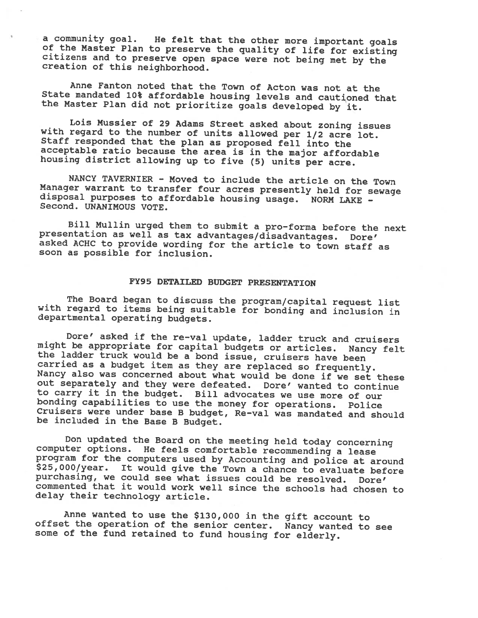<sup>a</sup> community goal. He felt that the other more important goals of the Master Plan to preserve the quality of life for existing citizens and to preserve open space were not being met by the creation of this neighborhood.

Anne Fanton noted that the Town of Acton was not at the State mandated 10% affordable housing levels and cautioned that the Master Plan did not prioritize goals developed by it.

Lois Mussier of 29 Adams Street asked about zoning issues<br>with regard to the number of units allowed per 1/2 acre lot.<br>Staff responded that the plan as proposed fell into the<br>acceptable ratio because the area is in the maj

NANCY TAVERNIER - Moved to include the article on the Town<br>Manager warrant to transfer four acres presently held for sewage<br>disposal purposes to affordable housing usage. NORM LAKE -<br>Second. UNANIMOUS VOTE.

Bill Nullin urged them to submit <sup>a</sup> pro-forma before the next presentation as well as tax advantages/disadvantages. Dore' asked ACHC to provide wording for the article to town staff as soon as possible for inclusion.

# FY95 DETAILED BUDGET PRESENTATION

The Board began to discuss the program/capital request list with regard to items being suitable for bonding and inclusion in departmental operating budgets.

Dore' asked if the re-val update, ladder truck and cruisers might be appropriate for capital budgets or articles. Nancy felt the ladder truck would be a bond issue, cruisers have been carried as a budget item as they are r Nancy also was concerned about what would be done if we set these out separately and they were defeated. Dore' wanted to continue<br>to carry it in the budget. Bill advocates we use more of our bonding capabilities to use the money for operations. Police<br>Cruisers were under base B budget, Re-val was mandated and should<br>be included in the Base B Budget.

Don updated the Board on the meeting held today concerning<br>computer options. He feels comfortable recommending a lease<br>program for the computers used by Accounting and police at around \$25,000/year. It would give the Town a chance to evaluate before purchasing, we could see what issues could be resolved. Dore' commented that it would work well since the schools had chosen to delay their technology article.

Anne wanted to use the \$130,000 in the <sup>g</sup>ift account to offset the operation of the senior center. Nancy wanted to see some of the fund retained to fund housing for elderly.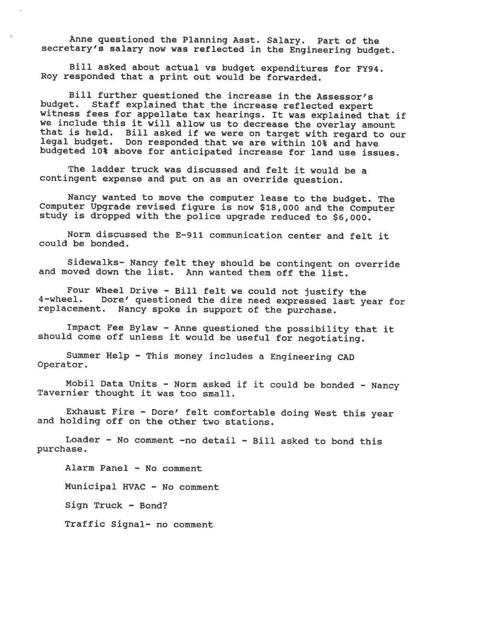Anne questioned the Planning Asst. Salary. Part of the secretary's salary now was reflected in the Engineering budget.

Bill asked about actual vs budget expenditures for FY94. Roy responded that <sup>a</sup> print out would be forwarded.

Bill further questioned the increase in the Assessor's budget. Staff explained that the increase reflected expert witness fees for appellate tax hearings. It was explained that if we include this it will allow us to decrease the overlay amount that is held. Bill asked if we were on target with regard to our legal budget. Don responded that we are within 10% and have budgeted 10% above for anticipated increase for land use issues.

The ladder truck was discussed and felt it would be <sup>a</sup> contingent expense and put on as an override question.

Nancy wanted to move the computer lease to the budget. The Computer Upgrade revised figure is now \$18,000 and the Computer study is dropped with the police upgrade reduced to \$6,000.

Norm discussed the E-911 communication center and felt it could be bonded.

Sidewalks— Nancy felt they should be contingent on override and moved down the list. Ann wanted them off the list.

Four Wheel Drive - Bill felt we could not justify the 4—wheel. Dore' questioned the dire need expressed last year for replacement. Nancy spoke in support of the purchase.

Impact Fee Bylaw - Anne questioned the possibility that it should come off unless it would be useful for negotiating.

Summer Help - This money includes <sup>a</sup> Engineering CAD Operator.

Mobil Data Units - Norm asked if it could be bonded - Nancy Tavernier thought it was too small.

Exhaust Fire - Dore' felt comfortable doing West this year and holding off on the other two stations.

Loader — No comment -no detail - Bill asked to bond this purchase.

Alarm Panel — No comment

Municipal HVAC - No comment

Sign Truck - Bond?

Traffic Signal- no comment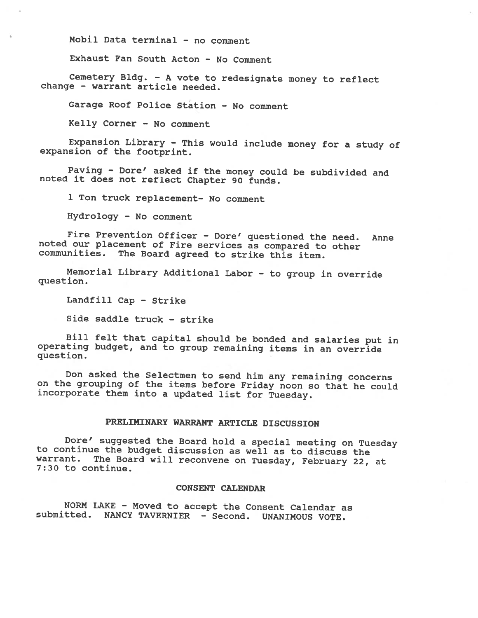Mobil Data terminal — no comment

Exhaust Fan South Acton - No Comment

Cemetery Bldg. — <sup>A</sup> vote to redesignate money to reflect change — warrant article needed.

Garage Roof Police Station - No comment

Kelly Corner — No comment

Expansion Library - This would include money for <sup>a</sup> study of expansion of the footprint.

Paving - Dore' asked if the money could be subdivided and noted it does not reflect Chapter <sup>90</sup> funds.

<sup>1</sup> Ton truck replacement— No comment

Hydrology - No comment

Fire Prevention Officer - Dore' questioned the need. Anne noted our placement of Fire services as compared to other communities. The Board agreed to strike this item.

Memorial Library Additional Labor - to group in override question.

Landfill Cap - Strike

Side saddle truck - strike

Bill felt that capital should be bonded and salaries put in operating budget, and to group remaining items in an override question.

Don asked the Selectmen to send him any remaining concerns on the grouping of the items before Friday noon so that he could incorporate them into <sup>a</sup> updated list for Tuesday.

# PRELIMINARY WARRANT ARTICLE DISCUSSION

Dore' suggested the Board hold a special meeting on Tuesday<br>to continue the budget discussion as well as to discuss the<br>warrant. The Board will reconvene on Tuesday, February 22, at warrant. The Board will reconvene on Tuesday, February 22, at 7:30 to continue.

#### CONSENT CALENDAR

NORM LAKE — Moved to accept the Consent Calendar as submitted. NANCY TAVERNIER - Second. UNANIMOUS VOTE.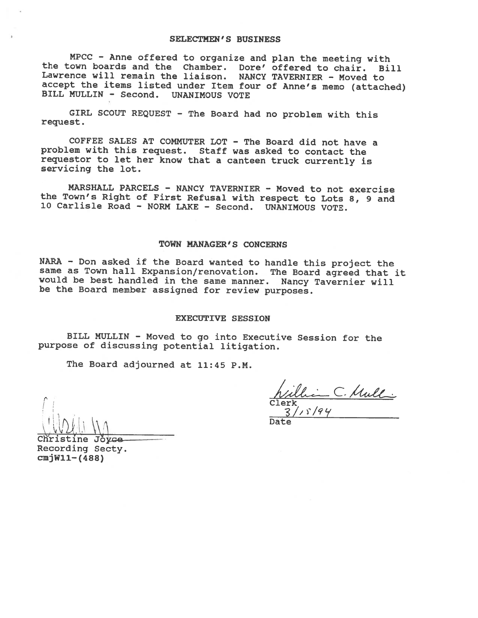#### SELECTMEN'S BUSINESS

MPCC - Anne offered to organize and plan the meeting with the town boards and the Chamber. Dore' offered to chair. Bill Lawrence will remain the liaison. NANCY TAVERNIER - Moved to accept the items listed under Item four of Anne's memo (attached) BILL MULLIN - Second. UNANIMOUS VOTE

GIRL SCOUT REQUEST - The Board had no problem with this request.

COFFEE SALES AT COMMUTER LOT - The Board did not have <sup>a</sup> problem with this request. Staff was asked to contact the requestor to let her know that <sup>a</sup> canteen truck currently is servicing the lot.

MARSHALL PARCELS - NANCY TAVERNIER - Moved to not exercise the Town's Right of First Refusal with respect to Lots 8, <sup>9</sup> and 10 Carlisle Road - NORM LANE - Second. UNANIMOUS VOTE.

#### TOWN MANAGER'S CONCERNS

NARA - Don asked if the Board wanted to handle this project the same as Town hail Expansion/renovation. The Board agreed that it would be best handled in the same manner. Nancy Tavernier will be the Board member assigned for review purposes.

#### EXECUTIVE SESSION

BILL MULLIN - Moved to go into Executive Session for the purpose of discussing potential litigation.

The Board adjourned at 11:45 P.M.

Clerk William C. Mulli 3/,'/9''

Date

Recording Secty. ine Jovce  $cmjW11-(488)$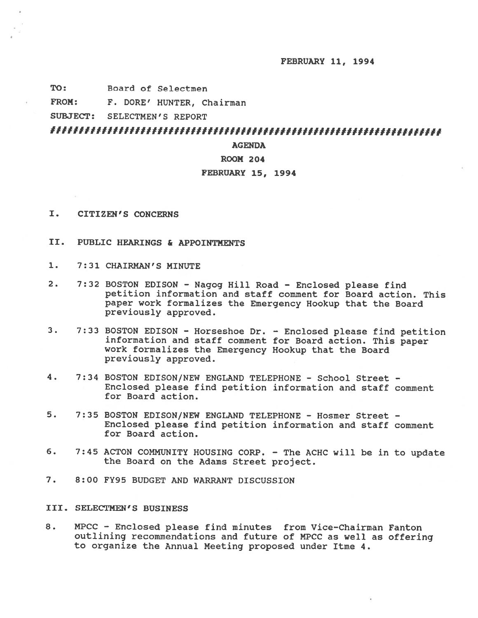FEBRUARY 11, 1994

TO: Board of Selectmen

FROM: F. DORE' HUNTER, Chairman

SUBJECT: SELECTMEN'S REPORT

# 

# AGENDA

# ROOM 204

### FEBRUARY 15, 1994

- I. CITIZEN'S CONCERNS
- II. PUBLIC HEARINGS & APPOINTMENTS
- 1. 7:31 CHAIRMAN'S MINUTE
- 2. 7:32 BOSTON EDISON Nagog Hill Road Enclosed <sup>p</sup>lease find petition information and staff comment for Board action. This paper work formalizes the Emergency Hookup that the Board previously approved.
- 3. 7:33 BOSTON EDISON Horseshoe Dr. Enclosed <sup>p</sup>lease find petition information and staff comment for Board action. This paper work formalizes the Emergency Hookup that the Board previously approved.
- 4. 7:34 BOSTON EDISON/NEW ENGLAND TELEPHONE School Street Enclosed <sup>p</sup>lease find petition information and staff comment for Board action.
- 5. 7:35 BOSTON EDISON/NEW ENGLAND TELEPHONE Hosmer Street Enclosed <sup>p</sup>lease find petition information and staff comment for Board action.
- 6. 7:45 ACTON COMMUNITY HOUSING CORP. The ACHC will be in to update the Board on the Adams Street project.
- 7. 8:00 FY95 BUDGET AND WARRANT DISCUSSION

### III. SELECTMEN'S BUSINESS

8. MPCC - Enclosed <sup>p</sup>lease find minutes from Vice-Chairman Fanton outlining recommendations and future of MPCC as well as offering to organize the Annual Meeting proposed under Itme 4.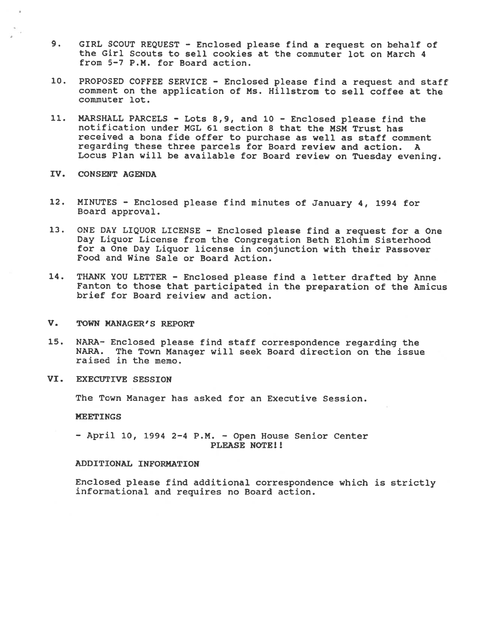- 9. GIRL SCOUT REQUEST Enclosed <sup>p</sup>lease find <sup>a</sup> reques<sup>t</sup> on behalf of the Girl Scouts to sell cookies at the commuter lot on March 4 from 5-7 P.M. for Board action.
- 10. PROPOSED COFFEE SERVICE Enclosed <sup>p</sup>lease find <sup>a</sup> reques<sup>t</sup> and staff comment on the application of Ms. Hilistrom to sell coffee at the commuter lot.
- 11. MARSHALL PARCELS Lots 8,9, and 10 Enclosed please find the notification under MGL 61 section 8 that the MSM Trust has received <sup>a</sup> bona fide offer to purchase as well as staff comment regarding these three parcels for Board review and action. A Locus Plan will be available for Board review on Tuesday evening.
- IV. CONSENT AGENDA
- 12. MINUTES Enclosed <sup>p</sup>lease find minutes of January 4, <sup>1994</sup> for Board approval.
- 13. ONE DAY LIQUOR LICENSE Enclosed <sup>p</sup>lease find <sup>a</sup> request for <sup>a</sup> One Day Liquor License from the Congregation Beth Elohim Sisterhood for <sup>a</sup> One Day Liquor license in conjunction with their Passover Food and Wine Sale or Board Action.
- 14. THANK YOU LETTER Enclosed please find <sup>a</sup> letter drafted by Anne Fanton to those that participated in the preparation of the Amicus brief for Board reiview and action.
- V. TOWN MANAGER'S REPORT
- 15. NARA— Enclosed <sup>p</sup>lease find staff correspondence regarding the NARA. The Town Manager will seek Board direction on the issue raised in the memo.
- VI. EXECUTIVE SESSION

The Town Manager has asked for an Executive Session.

#### MEETINGS

— April 10, 1994 2—4 P.M. — Open House Senior Center PLEASE NOTE!!

#### ADDITIONAL INFORMATION

Enclosed <sup>p</sup>lease find additional correspondence which is strictly informational and requires no Board action.